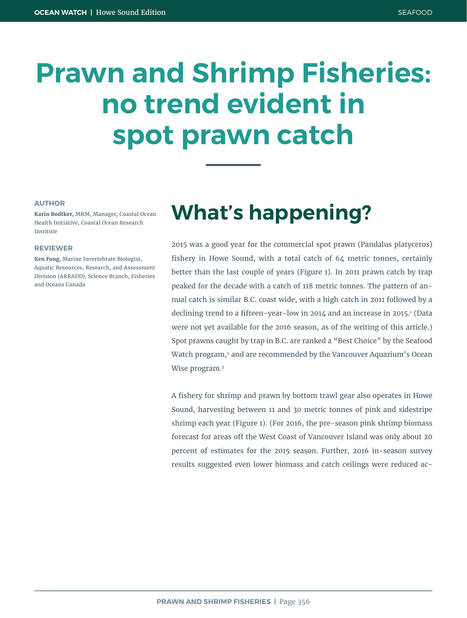# **Prawn and Shrimp Fisheries: no trend evident in spot prawn catch**

#### **AUTHOR**

**Karin Bodtker,** MRM, Manager, Coastal Ocean Health Initiative, Coastal Ocean Research Institute

#### **REVIEWER**

**Ken Fong,** Marine Invertebrate Biologist, Aquatic Resources, Research, and Assessment Division (ARRADD), Science Branch, Fisheries and Oceans Canada

## **What's happening?**

2015 was a good year for the commercial spot prawn (Pandalus platyceros) fishery in Howe Sound, with a total catch of 64 metric tonnes, certainly better than the last couple of years (Figure 1). In 2011 prawn catch by trap peaked for the decade with a catch of 118 metric tonnes. The pattern of annual catch is similar B.C. coast wide, with a high catch in 2011 followed by a declining trend to a fifteen-year-low in 2014 and an increase in 2015.<sup>1</sup> (Data were not yet available for the 2016 season, as of the writing of this article.) Spot prawns caught by trap in B.C. are ranked a "Best Choice" by the Seafood Watch program,<sup>2</sup> and are recommended by the Vancouver Aquarium's Ocean Wise program.<sup>3</sup>

A fishery for shrimp and prawn by bottom trawl gear also operates in Howe Sound, harvesting between 11 and 30 metric tonnes of pink and sidestripe shrimp each year (Figure 1). (For 2016, the pre-season pink shrimp biomass forecast for areas off the West Coast of Vancouver Island was only about 20 percent of estimates for the 2015 season. Further, 2016 in-season survey results suggested even lower biomass and catch ceilings were reduced ac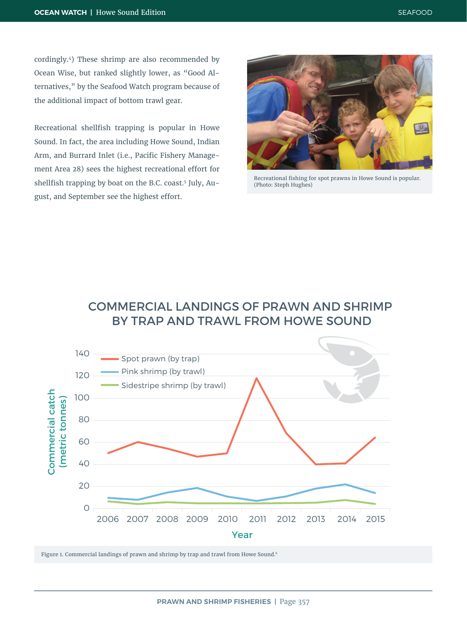cordingly.4) These shrimp are also recommended by Ocean Wise, but ranked slightly lower, as "Good Alternatives," by the Seafood Watch program because of the additional impact of bottom trawl gear.

Recreational shellfish trapping is popular in Howe Sound. In fact, the area including Howe Sound, Indian Arm, and Burrard Inlet (i.e., Pacific Fishery Management Area 28) sees the highest recreational effort for shellfish trapping by boat on the B.C. coast.<sup>5</sup> July, August, and September see the highest effort.



Recreational fishing for spot prawns in Howe Sound is popular. (Photo: Steph Hughes)

#### COMMERCIAL LANDINGS OF PRAWN AND SHRIMP BY TRAP AND TRAWL FROM HOWE SOUND



Figure 1. Commercial landings of prawn and shrimp by trap and trawl from Howe Sound.6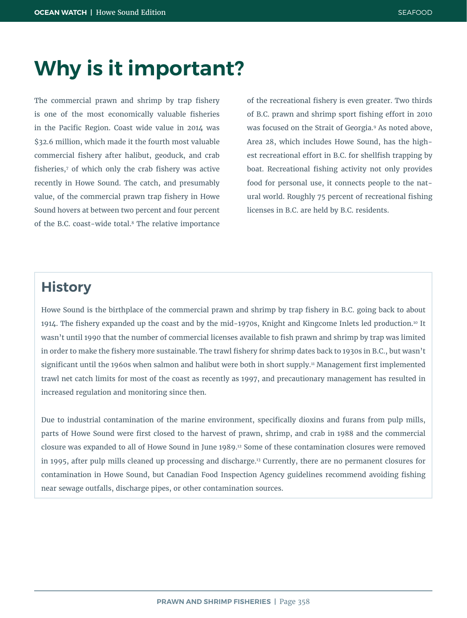### **Why is it important?**

The commercial prawn and shrimp by trap fishery is one of the most economically valuable fisheries in the Pacific Region. Coast wide value in 2014 was \$32.6 million, which made it the fourth most valuable commercial fishery after halibut, geoduck, and crab fisheries,<sup>7</sup> of which only the crab fishery was active recently in Howe Sound. The catch, and presumably value, of the commercial prawn trap fishery in Howe Sound hovers at between two percent and four percent of the B.C. coast-wide total.8 The relative importance

of the recreational fishery is even greater. Two thirds of B.C. prawn and shrimp sport fishing effort in 2010 was focused on the Strait of Georgia.9 As noted above, Area 28, which includes Howe Sound, has the highest recreational effort in B.C. for shellfish trapping by boat. Recreational fishing activity not only provides food for personal use, it connects people to the natural world. Roughly 75 percent of recreational fishing licenses in B.C. are held by B.C. residents.

### **History**

Howe Sound is the birthplace of the commercial prawn and shrimp by trap fishery in B.C. going back to about 1914. The fishery expanded up the coast and by the mid-1970s, Knight and Kingcome Inlets led production.10 It wasn't until 1990 that the number of commercial licenses available to fish prawn and shrimp by trap was limited in order to make the fishery more sustainable. The trawl fishery for shrimp dates back to 1930s in B.C., but wasn't significant until the 1960s when salmon and halibut were both in short supply.<sup>11</sup> Management first implemented trawl net catch limits for most of the coast as recently as 1997, and precautionary management has resulted in increased regulation and monitoring since then.

Due to industrial contamination of the marine environment, specifically dioxins and furans from pulp mills, parts of Howe Sound were first closed to the harvest of prawn, shrimp, and crab in 1988 and the commercial closure was expanded to all of Howe Sound in June 1989.12 Some of these contamination closures were removed in 1995, after pulp mills cleaned up processing and discharge.13 Currently, there are no permanent closures for contamination in Howe Sound, but Canadian Food Inspection Agency guidelines recommend avoiding fishing near sewage outfalls, discharge pipes, or other contamination sources.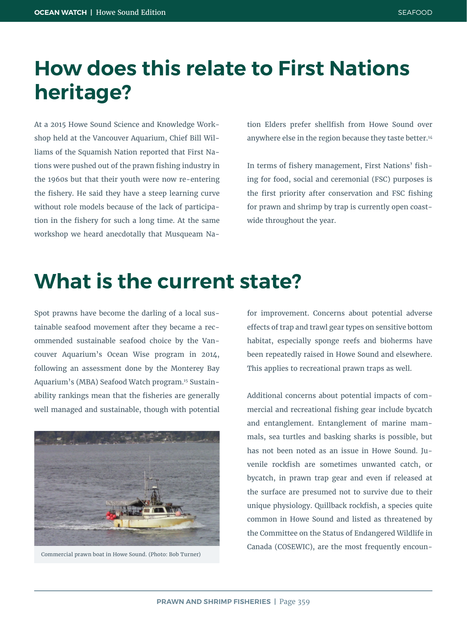### **How does this relate to First Nations heritage?**

At a 2015 Howe Sound Science and Knowledge Workshop held at the Vancouver Aquarium, Chief Bill Williams of the Squamish Nation reported that First Nations were pushed out of the prawn fishing industry in the 1960s but that their youth were now re-entering the fishery. He said they have a steep learning curve without role models because of the lack of participation in the fishery for such a long time. At the same workshop we heard anecdotally that Musqueam Nation Elders prefer shellfish from Howe Sound over anywhere else in the region because they taste better.<sup>14</sup>

In terms of fishery management, First Nations' fishing for food, social and ceremonial (FSC) purposes is the first priority after conservation and FSC fishing for prawn and shrimp by trap is currently open coastwide throughout the year.

### **What is the current state?**

Spot prawns have become the darling of a local sustainable seafood movement after they became a recommended sustainable seafood choice by the Vancouver Aquarium's Ocean Wise program in 2014, following an assessment done by the Monterey Bay Aquarium's (MBA) Seafood Watch program.15 Sustainability rankings mean that the fisheries are generally well managed and sustainable, though with potential



Commercial prawn boat in Howe Sound. (Photo: Bob Turner)

for improvement. Concerns about potential adverse effects of trap and trawl gear types on sensitive bottom habitat, especially sponge reefs and bioherms have been repeatedly raised in Howe Sound and elsewhere. This applies to recreational prawn traps as well.

Additional concerns about potential impacts of commercial and recreational fishing gear include bycatch and entanglement. Entanglement of marine mammals, sea turtles and basking sharks is possible, but has not been noted as an issue in Howe Sound. Juvenile rockfish are sometimes unwanted catch, or bycatch, in prawn trap gear and even if released at the surface are presumed not to survive due to their unique physiology. Quillback rockfish, a species quite common in Howe Sound and listed as threatened by the Committee on the Status of Endangered Wildlife in Canada (COSEWIC), are the most frequently encoun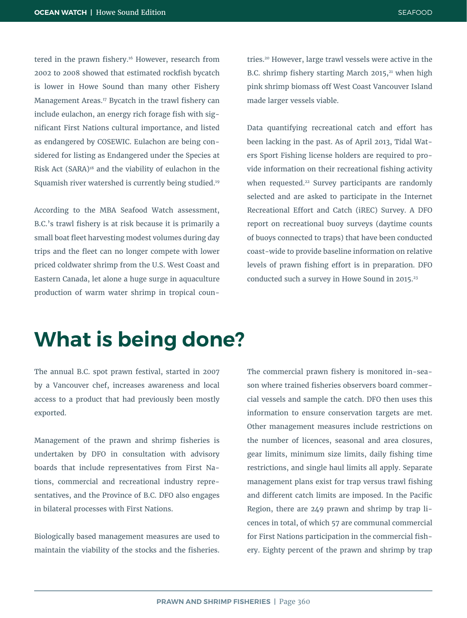tered in the prawn fishery.<sup>16</sup> However, research from 2002 to 2008 showed that estimated rockfish bycatch is lower in Howe Sound than many other Fishery Management Areas.17 Bycatch in the trawl fishery can include eulachon, an energy rich forage fish with significant First Nations cultural importance, and listed as endangered by COSEWIC. Eulachon are being considered for listing as Endangered under the Species at Risk Act (SARA)18 and the viability of eulachon in the Squamish river watershed is currently being studied.19

According to the MBA Seafood Watch assessment, B.C.'s trawl fishery is at risk because it is primarily a small boat fleet harvesting modest volumes during day trips and the fleet can no longer compete with lower priced coldwater shrimp from the U.S. West Coast and Eastern Canada, let alone a huge surge in aquaculture production of warm water shrimp in tropical countries.20 However, large trawl vessels were active in the B.C. shrimp fishery starting March  $2015$ ,<sup>21</sup> when high pink shrimp biomass off West Coast Vancouver Island made larger vessels viable.

Data quantifying recreational catch and effort has been lacking in the past. As of April 2013, Tidal Waters Sport Fishing license holders are required to provide information on their recreational fishing activity when requested.<sup>22</sup> Survey participants are randomly selected and are asked to participate in the Internet Recreational Effort and Catch (iREC) Survey. A DFO report on recreational buoy surveys (daytime counts of buoys connected to traps) that have been conducted coast-wide to provide baseline information on relative levels of prawn fishing effort is in preparation. DFO conducted such a survey in Howe Sound in 2015.<sup>23</sup>

### **What is being done?**

The annual B.C. spot prawn festival, started in 2007 by a Vancouver chef, increases awareness and local access to a product that had previously been mostly exported.

Management of the prawn and shrimp fisheries is undertaken by DFO in consultation with advisory boards that include representatives from First Nations, commercial and recreational industry representatives, and the Province of B.C. DFO also engages in bilateral processes with First Nations.

Biologically based management measures are used to maintain the viability of the stocks and the fisheries. The commercial prawn fishery is monitored in-season where trained fisheries observers board commercial vessels and sample the catch. DFO then uses this information to ensure conservation targets are met. Other management measures include restrictions on the number of licences, seasonal and area closures, gear limits, minimum size limits, daily fishing time restrictions, and single haul limits all apply. Separate management plans exist for trap versus trawl fishing and different catch limits are imposed. In the Pacific Region, there are 249 prawn and shrimp by trap licences in total, of which 57 are communal commercial for First Nations participation in the commercial fishery. Eighty percent of the prawn and shrimp by trap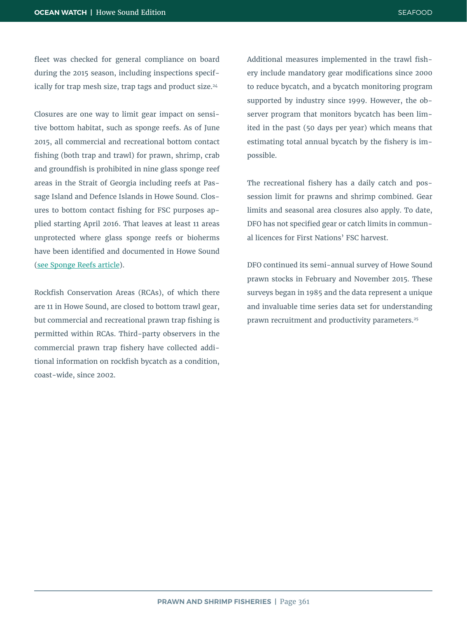fleet was checked for general compliance on board during the 2015 season, including inspections specifically for trap mesh size, trap tags and product size.<sup>24</sup>

Closures are one way to limit gear impact on sensitive bottom habitat, such as sponge reefs. As of June 2015, all commercial and recreational bottom contact fishing (both trap and trawl) for prawn, shrimp, crab and groundfish is prohibited in nine glass sponge reef areas in the Strait of Georgia including reefs at Passage Island and Defence Islands in Howe Sound. Closures to bottom contact fishing for FSC purposes applied starting April 2016. That leaves at least 11 areas unprotected where glass sponge reefs or bioherms have been identified and documented in Howe Sound (see Sponge Reefs article).

Rockfish Conservation Areas (RCAs), of which there are 11 in Howe Sound, are closed to bottom trawl gear, but commercial and recreational prawn trap fishing is permitted within RCAs. Third-party observers in the commercial prawn trap fishery have collected additional information on rockfish bycatch as a condition, coast-wide, since 2002.

Additional measures implemented in the trawl fishery include mandatory gear modifications since 2000 to reduce bycatch, and a bycatch monitoring program supported by industry since 1999. However, the observer program that monitors bycatch has been limited in the past (50 days per year) which means that estimating total annual bycatch by the fishery is impossible.

The recreational fishery has a daily catch and possession limit for prawns and shrimp combined. Gear limits and seasonal area closures also apply. To date, DFO has not specified gear or catch limits in communal licences for First Nations' FSC harvest.

DFO continued its semi-annual survey of Howe Sound prawn stocks in February and November 2015. These surveys began in 1985 and the data represent a unique and invaluable time series data set for understanding prawn recruitment and productivity parameters.25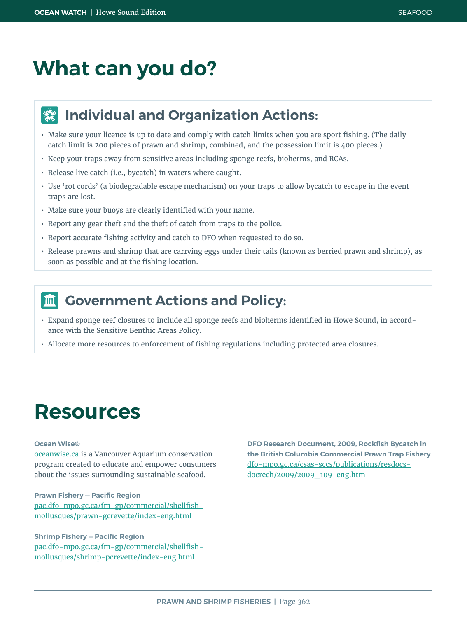# **What can you do?**

#### **Individual and Organization Actions:**  $\frac{d\mathbf{y}}{d\mathbf{x}}$

- Make sure your licence is up to date and comply with catch limits when you are sport fishing. (The daily catch limit is 200 pieces of prawn and shrimp, combined, and the possession limit is 400 pieces.)
- Keep your traps away from sensitive areas including sponge reefs, bioherms, and RCAs.
- Release live catch (i.e., bycatch) in waters where caught.
- Use 'rot cords' (a biodegradable escape mechanism) on your traps to allow bycatch to escape in the event traps are lost.
- Make sure your buoys are clearly identified with your name.
- Report any gear theft and the theft of catch from traps to the police.
- Report accurate fishing activity and catch to DFO when requested to do so.
- Release prawns and shrimp that are carrying eggs under their tails (known as berried prawn and shrimp), as soon as possible and at the fishing location.

#### **Government Actions and Policy:**  $\overline{\mathbf{m}}$

- Expand sponge reef closures to include all sponge reefs and bioherms identified in Howe Sound, in accordance with the Sensitive Benthic Areas Policy.
- Allocate more resources to enforcement of fishing regulations including protected area closures.

### **Resources**

#### **Ocean Wise®**

[oceanwise.ca](http://oceanwise.ca) is a Vancouver Aquarium conservation program created to educate and empower consumers about the issues surrounding sustainable seafood.

**Prawn Fishery — Pacific Region** [pac.dfo-mpo.gc.ca/fm-gp/commercial/shellfish](http://www.pac.dfo-mpo.gc.ca/fm-gp/commercial/shellfish-mollusques/prawn-gcrevette/index-eng.html)[mollusques/prawn-gcrevette/index-eng.html](http://www.pac.dfo-mpo.gc.ca/fm-gp/commercial/shellfish-mollusques/prawn-gcrevette/index-eng.html)

**Shrimp Fishery — Pacific Region** [pac.dfo-mpo.gc.ca/fm-gp/commercial/shellfish](http://www.pac.dfo-mpo.gc.ca/fm-gp/commercial/shellfish-mollusques/shrimp-pcrevette/index-eng.html)[mollusques/shrimp-pcrevette/index-eng.html](http://www.pac.dfo-mpo.gc.ca/fm-gp/commercial/shellfish-mollusques/shrimp-pcrevette/index-eng.html)

**DFO Research Document, 2009, Rockfish Bycatch in the British Columbia Commercial Prawn Trap Fishery** [dfo-mpo.gc.ca/csas-sccs/publications/resdocs](http://dfo-mpo.gc.ca/csas-sccs/publications/resdocs-docrech/2009/2009_109-eng.htm)[docrech/2009/2009\\_109-eng.htm](http://dfo-mpo.gc.ca/csas-sccs/publications/resdocs-docrech/2009/2009_109-eng.htm)